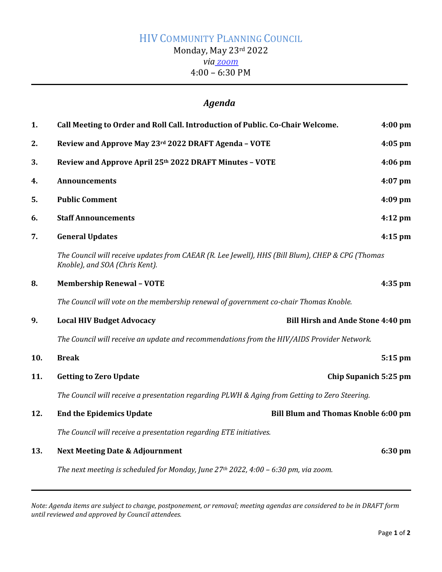# HIV COMMUNITY PLANNING COUNCIL Monday, May 23rd 2022 *via [zoom](https://us02web.zoom.us/j/83659844648?pwd=QU8wTkNtUE1FR0JRME1FcVJWMHlOUT09)* 4:00 – 6:30 PM

## *Agenda*

| 1.  | Call Meeting to Order and Roll Call. Introduction of Public. Co-Chair Welcome.                                                     | 4:00 pm   |
|-----|------------------------------------------------------------------------------------------------------------------------------------|-----------|
| 2.  | Review and Approve May 23rd 2022 DRAFT Agenda - VOTE                                                                               | $4:05$ pm |
| 3.  | Review and Approve April 25th 2022 DRAFT Minutes - VOTE                                                                            | $4:06$ pm |
| 4.  | <b>Announcements</b>                                                                                                               | $4:07$ pm |
| 5.  | <b>Public Comment</b>                                                                                                              | 4:09 pm   |
| 6.  | <b>Staff Announcements</b>                                                                                                         | $4:12$ pm |
| 7.  | <b>General Updates</b>                                                                                                             | $4:15$ pm |
|     | The Council will receive updates from CAEAR (R. Lee Jewell), HHS (Bill Blum), CHEP & CPG (Thomas<br>Knoble), and SOA (Chris Kent). |           |
| 8.  | <b>Membership Renewal - VOTE</b>                                                                                                   | 4:35 pm   |
|     | The Council will vote on the membership renewal of government co-chair Thomas Knoble.                                              |           |
| 9.  | <b>Local HIV Budget Advocacy</b><br><b>Bill Hirsh and Ande Stone 4:40 pm</b>                                                       |           |
|     | The Council will receive an update and recommendations from the HIV/AIDS Provider Network.                                         |           |
| 10. | <b>Break</b>                                                                                                                       | 5:15 pm   |
| 11. | <b>Getting to Zero Update</b><br>Chip Supanich 5:25 pm                                                                             |           |
|     | The Council will receive a presentation regarding PLWH & Aging from Getting to Zero Steering.                                      |           |
| 12. | <b>End the Epidemics Update</b><br><b>Bill Blum and Thomas Knoble 6:00 pm</b>                                                      |           |
|     | The Council will receive a presentation regarding ETE initiatives.                                                                 |           |
| 13. | <b>Next Meeting Date &amp; Adjournment</b>                                                                                         | 6:30 pm   |
|     | The next meeting is scheduled for Monday, June $27th$ 2022, 4:00 – 6:30 pm, via zoom.                                              |           |

*Note: Agenda items are subject to change, postponement, or removal; meeting agendas are considered to be in DRAFT form until reviewed and approved by Council attendees.*